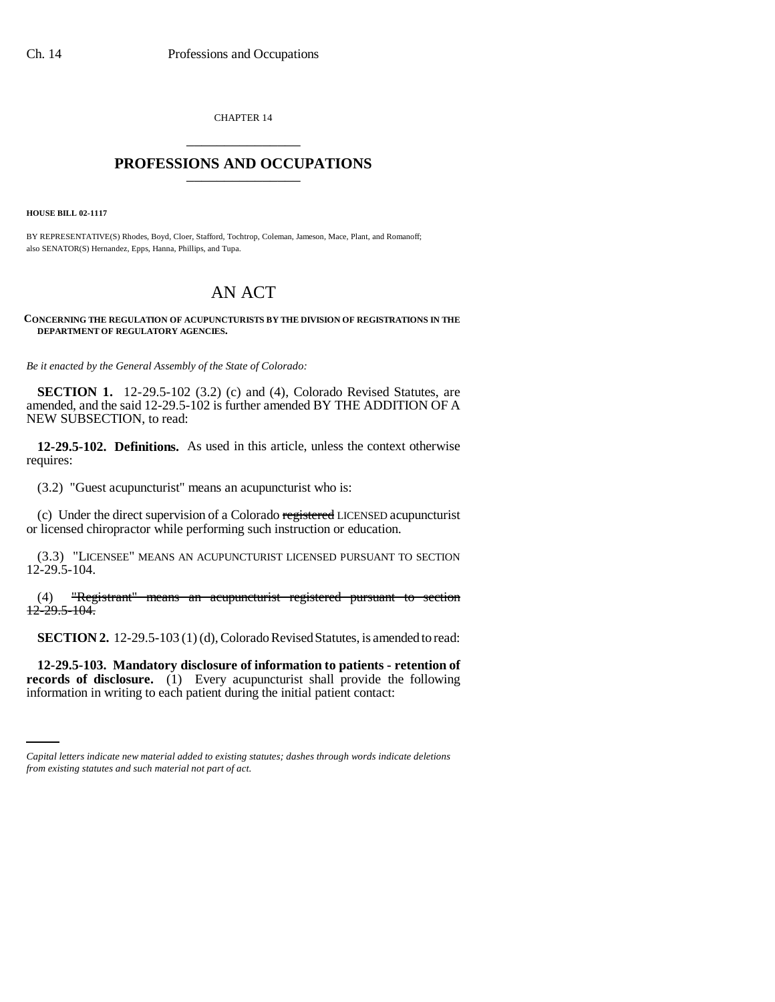CHAPTER 14 \_\_\_\_\_\_\_\_\_\_\_\_\_\_\_

## **PROFESSIONS AND OCCUPATIONS** \_\_\_\_\_\_\_\_\_\_\_\_\_\_\_

**HOUSE BILL 02-1117**

BY REPRESENTATIVE(S) Rhodes, Boyd, Cloer, Stafford, Tochtrop, Coleman, Jameson, Mace, Plant, and Romanoff; also SENATOR(S) Hernandez, Epps, Hanna, Phillips, and Tupa.

## AN ACT

## **CONCERNING THE REGULATION OF ACUPUNCTURISTS BY THE DIVISION OF REGISTRATIONS IN THE DEPARTMENT OF REGULATORY AGENCIES.**

*Be it enacted by the General Assembly of the State of Colorado:*

**SECTION 1.** 12-29.5-102 (3.2) (c) and (4), Colorado Revised Statutes, are amended, and the said 12-29.5-102 is further amended BY THE ADDITION OF A NEW SUBSECTION, to read:

**12-29.5-102. Definitions.** As used in this article, unless the context otherwise requires:

(3.2) "Guest acupuncturist" means an acupuncturist who is:

(c) Under the direct supervision of a Colorado registered LICENSED acupuncturist or licensed chiropractor while performing such instruction or education.

(3.3) "LICENSEE" MEANS AN ACUPUNCTURIST LICENSED PURSUANT TO SECTION 12-29.5-104.

(4) "Registrant" means an acupuncturist registered pursuant to section 12-29.5-104.

**SECTION 2.** 12-29.5-103 (1) (d), Colorado Revised Statutes, is amended to read:

**records of disclosure.** (1) Every acupuncturist shall provide the following **12-29.5-103. Mandatory disclosure of information to patients - retention of** information in writing to each patient during the initial patient contact:

*Capital letters indicate new material added to existing statutes; dashes through words indicate deletions from existing statutes and such material not part of act.*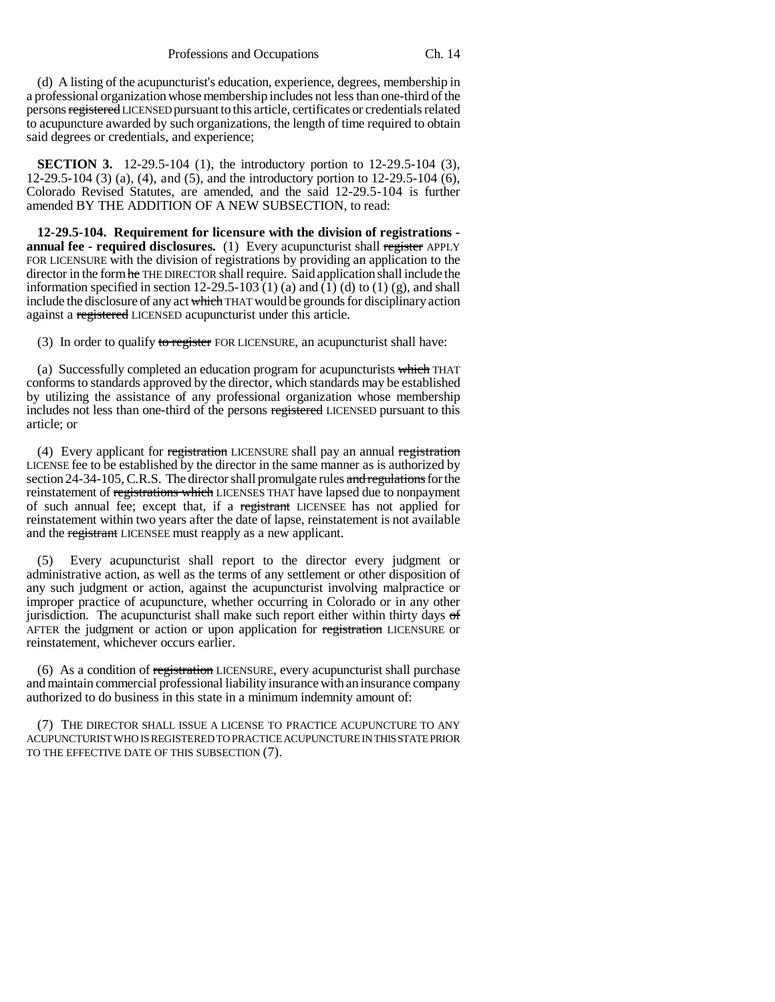(d) A listing of the acupuncturist's education, experience, degrees, membership in a professional organization whose membership includes not less than one-third of the persons registered LICENSED pursuant to this article, certificates or credentials related to acupuncture awarded by such organizations, the length of time required to obtain said degrees or credentials, and experience;

**SECTION 3.** 12-29.5-104 (1), the introductory portion to 12-29.5-104 (3), 12-29.5-104 (3) (a), (4), and (5), and the introductory portion to 12-29.5-104 (6), Colorado Revised Statutes, are amended, and the said 12-29.5-104 is further amended BY THE ADDITION OF A NEW SUBSECTION, to read:

**12-29.5-104. Requirement for licensure with the division of registrations annual fee - required disclosures.** (1) Every acupuncturist shall register APPLY FOR LICENSURE with the division of registrations by providing an application to the director in the form he THE DIRECTOR shall require. Said application shall include the information specified in section  $12-29.5-103$  (1) (a) and (1) (d) to (1) (g), and shall include the disclosure of any act which THAT would be grounds for disciplinary action against a registered LICENSED acupuncturist under this article.

(3) In order to qualify to register FOR LICENSURE, an acupuncturist shall have:

(a) Successfully completed an education program for acupuncturists which THAT conforms to standards approved by the director, which standards may be established by utilizing the assistance of any professional organization whose membership includes not less than one-third of the persons registered LICENSED pursuant to this article; or

(4) Every applicant for registration LICENSURE shall pay an annual registration LICENSE fee to be established by the director in the same manner as is authorized by section 24-34-105, C.R.S. The director shall promulgate rules and regulations for the reinstatement of registrations which LICENSES THAT have lapsed due to nonpayment of such annual fee; except that, if a registrant LICENSEE has not applied for reinstatement within two years after the date of lapse, reinstatement is not available and the registrant LICENSEE must reapply as a new applicant.

(5) Every acupuncturist shall report to the director every judgment or administrative action, as well as the terms of any settlement or other disposition of any such judgment or action, against the acupuncturist involving malpractice or improper practice of acupuncture, whether occurring in Colorado or in any other jurisdiction. The acupuncturist shall make such report either within thirty days  $\sigma f$ AFTER the judgment or action or upon application for registration LICENSURE or reinstatement, whichever occurs earlier.

(6) As a condition of registration LICENSURE, every acupuncturist shall purchase and maintain commercial professional liability insurance with an insurance company authorized to do business in this state in a minimum indemnity amount of:

(7) THE DIRECTOR SHALL ISSUE A LICENSE TO PRACTICE ACUPUNCTURE TO ANY ACUPUNCTURIST WHO IS REGISTERED TO PRACTICE ACUPUNCTURE IN THIS STATE PRIOR TO THE EFFECTIVE DATE OF THIS SUBSECTION (7).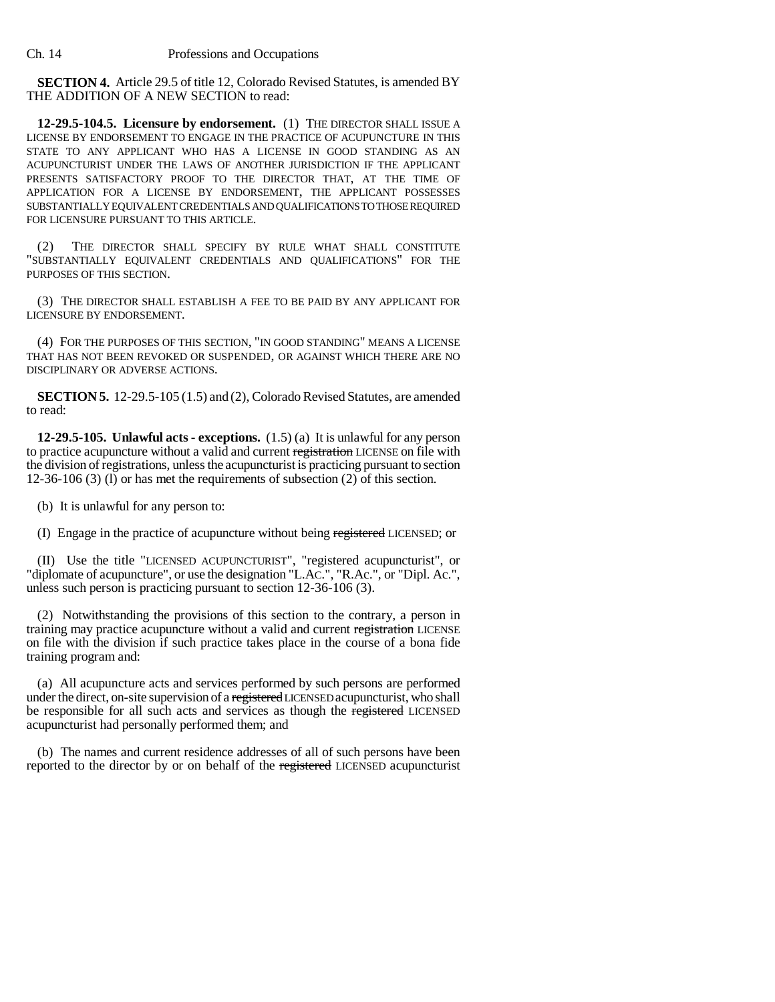**SECTION 4.** Article 29.5 of title 12, Colorado Revised Statutes, is amended BY THE ADDITION OF A NEW SECTION to read:

**12-29.5-104.5. Licensure by endorsement.** (1) THE DIRECTOR SHALL ISSUE A LICENSE BY ENDORSEMENT TO ENGAGE IN THE PRACTICE OF ACUPUNCTURE IN THIS STATE TO ANY APPLICANT WHO HAS A LICENSE IN GOOD STANDING AS AN ACUPUNCTURIST UNDER THE LAWS OF ANOTHER JURISDICTION IF THE APPLICANT PRESENTS SATISFACTORY PROOF TO THE DIRECTOR THAT, AT THE TIME OF APPLICATION FOR A LICENSE BY ENDORSEMENT, THE APPLICANT POSSESSES SUBSTANTIALLY EQUIVALENT CREDENTIALS AND QUALIFICATIONS TO THOSE REQUIRED FOR LICENSURE PURSUANT TO THIS ARTICLE.

(2) THE DIRECTOR SHALL SPECIFY BY RULE WHAT SHALL CONSTITUTE "SUBSTANTIALLY EQUIVALENT CREDENTIALS AND QUALIFICATIONS" FOR THE PURPOSES OF THIS SECTION.

(3) THE DIRECTOR SHALL ESTABLISH A FEE TO BE PAID BY ANY APPLICANT FOR LICENSURE BY ENDORSEMENT.

(4) FOR THE PURPOSES OF THIS SECTION, "IN GOOD STANDING" MEANS A LICENSE THAT HAS NOT BEEN REVOKED OR SUSPENDED, OR AGAINST WHICH THERE ARE NO DISCIPLINARY OR ADVERSE ACTIONS.

**SECTION 5.** 12-29.5-105 (1.5) and (2), Colorado Revised Statutes, are amended to read:

**12-29.5-105. Unlawful acts - exceptions.** (1.5) (a) It is unlawful for any person to practice acupuncture without a valid and current registration LICENSE on file with the division of registrations, unless the acupuncturist is practicing pursuant to section 12-36-106 (3) (l) or has met the requirements of subsection (2) of this section.

(b) It is unlawful for any person to:

(I) Engage in the practice of acupuncture without being registered LICENSED; or

(II) Use the title "LICENSED ACUPUNCTURIST", "registered acupuncturist", or "diplomate of acupuncture", or use the designation "L.AC.", "R.Ac.", or "Dipl. Ac.", unless such person is practicing pursuant to section 12-36-106 (3).

(2) Notwithstanding the provisions of this section to the contrary, a person in training may practice acupuncture without a valid and current registration LICENSE on file with the division if such practice takes place in the course of a bona fide training program and:

(a) All acupuncture acts and services performed by such persons are performed under the direct, on-site supervision of a registered LICENSED acupuncturist, who shall be responsible for all such acts and services as though the registered LICENSED acupuncturist had personally performed them; and

(b) The names and current residence addresses of all of such persons have been reported to the director by or on behalf of the registered LICENSED acupuncturist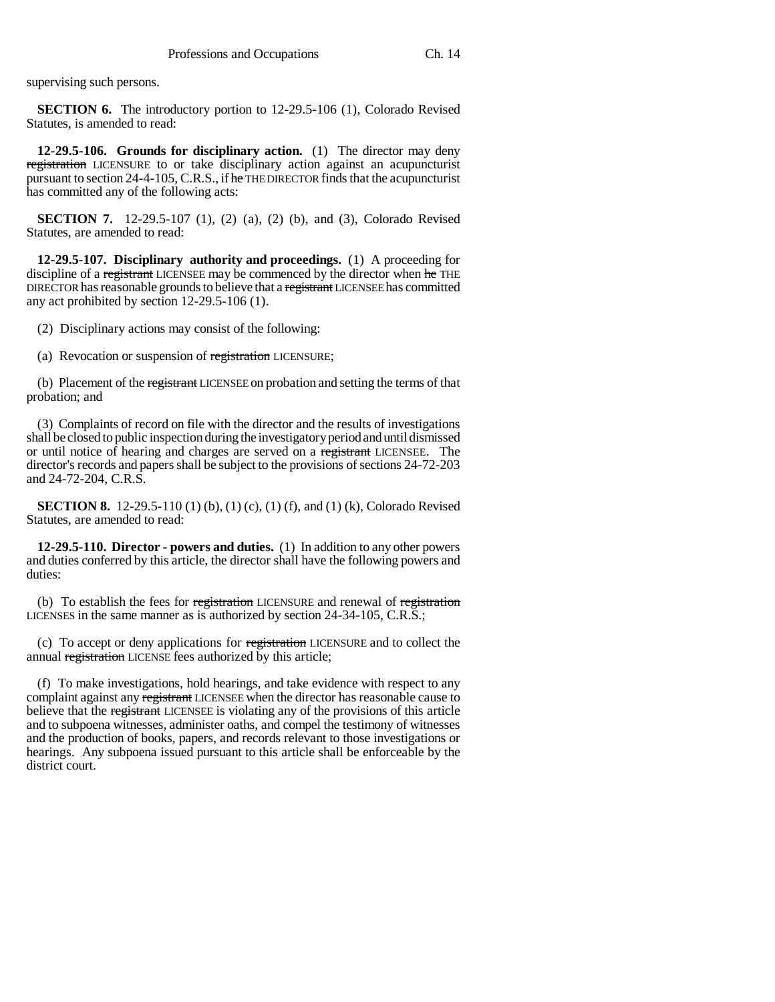supervising such persons.

**SECTION 6.** The introductory portion to 12-29.5-106 (1), Colorado Revised Statutes, is amended to read:

**12-29.5-106. Grounds for disciplinary action.** (1) The director may deny registration LICENSURE to or take disciplinary action against an acupuncturist pursuant to section 24-4-105, C.R.S., if he THE DIRECTOR finds that the acupuncturist has committed any of the following acts:

**SECTION 7.** 12-29.5-107 (1), (2) (a), (2) (b), and (3), Colorado Revised Statutes, are amended to read:

**12-29.5-107. Disciplinary authority and proceedings.** (1) A proceeding for discipline of a registrant LICENSEE may be commenced by the director when he THE DIRECTOR has reasonable grounds to believe that a registrant LICENSEE has committed any act prohibited by section 12-29.5-106 (1).

(2) Disciplinary actions may consist of the following:

(a) Revocation or suspension of registration LICENSURE;

(b) Placement of the registrant LICENSEE on probation and setting the terms of that probation; and

(3) Complaints of record on file with the director and the results of investigations shall be closed to public inspection during the investigatory period and until dismissed or until notice of hearing and charges are served on a registrant LICENSEE. The director's records and papers shall be subject to the provisions of sections 24-72-203 and 24-72-204, C.R.S.

**SECTION 8.** 12-29.5-110 (1) (b), (1) (c), (1) (f), and (1) (k), Colorado Revised Statutes, are amended to read:

**12-29.5-110. Director - powers and duties.** (1) In addition to any other powers and duties conferred by this article, the director shall have the following powers and duties:

(b) To establish the fees for registration LICENSURE and renewal of registration LICENSES in the same manner as is authorized by section 24-34-105, C.R.S.;

(c) To accept or deny applications for registration LICENSURE and to collect the annual registration LICENSE fees authorized by this article;

(f) To make investigations, hold hearings, and take evidence with respect to any complaint against any registrant LICENSEE when the director has reasonable cause to believe that the registrant LICENSEE is violating any of the provisions of this article and to subpoena witnesses, administer oaths, and compel the testimony of witnesses and the production of books, papers, and records relevant to those investigations or hearings. Any subpoena issued pursuant to this article shall be enforceable by the district court.